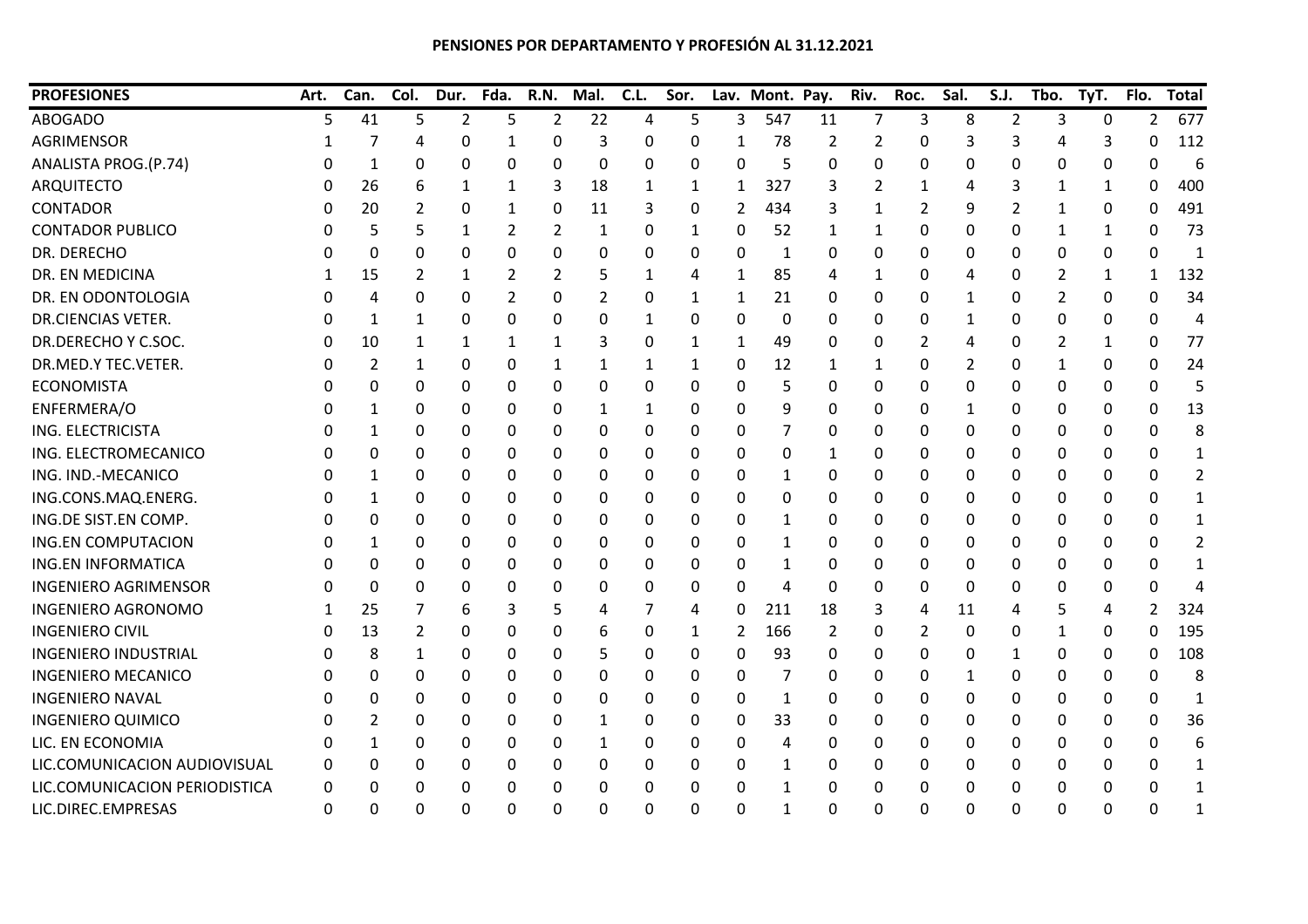| <b>PROFESIONES</b>            | Art.     | Can.           | Col. | Dur.           | Fda.           | <b>R.N.</b>    | Mal. | C.L.         | Sor.         |              | Lav. Mont. Pay. |    | Riv.           | Roc. | Sal.         | S.J.           | Tbo.         | TyT.     | Flo.           | <b>Total</b>   |
|-------------------------------|----------|----------------|------|----------------|----------------|----------------|------|--------------|--------------|--------------|-----------------|----|----------------|------|--------------|----------------|--------------|----------|----------------|----------------|
| <b>ABOGADO</b>                | 5.       | 41             | 5    | $\overline{2}$ | 5              | $\overline{2}$ | 22   | 4            | 5            | 3            | 547             | 11 | $\overline{7}$ | 3    | 8            | $\overline{2}$ | 3            | $\Omega$ | 2              | 677            |
| AGRIMENSOR                    |          | 7              | 4    | 0              | 1              | 0              | 3    | 0            | 0            |              | 78              | 2  | 2              | 0    | 3            | 3              | 4            | 3        | 0              | 112            |
| ANALISTA PROG.(P.74)          |          | 1              | 0    | 0              | 0              | 0              | 0    | 0            | 0            | $\Omega$     | 5               | 0  | 0              | 0    | 0            | 0              | 0            | 0        | 0              | 6              |
| <b>ARQUITECTO</b>             | $\Omega$ | 26             | 6    | 1              | 1              | 3              | 18   | 1            | 1            | 1            | 327             | 3  | 2              | 1    | 4            | 3              | 1            | 1        | 0              | 400            |
| <b>CONTADOR</b>               |          | 20             | 2    | 0              | 1              | 0              | 11   | 3            | 0            | 2            | 434             | 3  | 1              | 2    | 9            | 2              | 1            | 0        | 0              | 491            |
| <b>CONTADOR PUBLICO</b>       |          | 5              | 5    | 1              | 2              | 2              | 1    | 0            | 1            | 0            | 52              | 1  | 1              | 0    | 0            | 0              | 1            | 1        | 0              | 73             |
| DR. DERECHO                   |          | 0              | 0    | 0              | 0              | 0              | 0    | 0            | 0            | $\Omega$     | 1               | 0  | 0              | 0    | 0            | 0              | $\Omega$     | 0        | 0              | $\mathbf{1}$   |
| DR. EN MEDICINA               |          | 15             | 2    | 1              | 2              | 2              | 5    | 1            | 4            | 1            | 85              | 4  | 1              | 0    | 4            | 0              | 2            | 1        | $\mathbf{1}$   | 132            |
| DR. EN ODONTOLOGIA            |          | 4              | 0    | 0              | $\overline{2}$ | 0              | 2    | 0            | $\mathbf{1}$ | 1            | 21              | 0  | 0              | 0    | $\mathbf{1}$ | 0              | 2            | 0        | 0              | 34             |
| DR.CIENCIAS VETER.            |          | 1              | 1    | 0              | 0              | 0              | 0    | 1            | 0            | 0            | 0               | 0  | 0              | 0    | 1            | 0              | 0            | 0        | 0              | 4              |
| DR.DERECHO Y C.SOC.           | O        | 10             |      |                | 1              | 1              | 3    | 0            | 1            | 1            | 49              | 0  | 0              | 2    | 4            | 0              | 2            | 1        | 0              | 77             |
| DR.MED.Y TEC.VETER.           | 0        | 2              | 1    | 0              | 0              | 1              | 1    | 1            | 1            | 0            | 12              | 1  | 1              | 0    | 2            | 0              | 1            | 0        | 0              | 24             |
| <b>ECONOMISTA</b>             |          | 0              | 0    | 0              | 0              | 0              | 0    | 0            | 0            | 0            | 5               | 0  | 0              | 0    | 0            | 0              | $\Omega$     | 0        | 0              | 5              |
| ENFERMERA/O                   |          | 1              | 0    | 0              | $\mathbf{0}$   | 0              | 1    | $\mathbf{1}$ | 0            | $\Omega$     | 9               | 0  | 0              | 0    | 1            | 0              | $\Omega$     | 0        | 0              | 13             |
| ING. ELECTRICISTA             |          | 1              | 0    | 0              | 0              | 0              | 0    | 0            | 0            | 0            | 7               | 0  | 0              | 0    | 0            | 0              | 0            | 0        | 0              | 8              |
| ING. ELECTROMECANICO          | O        | 0              | 0    | 0              | 0              | 0              | 0    | 0            | 0            | 0            | 0               | 1  | 0              | 0    | 0            | 0              | 0            | 0        | 0              | $\mathbf{1}$   |
| ING. IND.-MECANICO            |          | 1              | 0    | 0              | 0              | 0              | 0    | 0            | 0            | 0            | 1               | 0  | 0              | 0    | 0            | 0              | 0            | 0        | 0              | $\overline{2}$ |
| ING.CONS.MAQ.ENERG.           |          | 1              | 0    | 0              | 0              | 0              | 0    | 0            | 0            | $\Omega$     | 0               | 0  | 0              | 0    | $\Omega$     | 0              | $\Omega$     | 0        | 0              | 1              |
| ING.DE SIST.EN COMP.          | 0        | 0              | 0    | 0              | 0              | 0              | 0    | 0            | 0            | $\mathbf{0}$ | 1               | 0  | 0              | 0    | $\Omega$     | 0              | $\mathbf{0}$ | 0        | 0              | $\mathbf 1$    |
| <b>ING.EN COMPUTACION</b>     | Ω        | 1              | 0    | 0              | 0              | 0              | 0    | 0            | 0            | 0            | 1               | 0  | 0              | 0    | 0            | 0              | 0            | 0        | <sup>0</sup>   | $\overline{2}$ |
| <b>ING.EN INFORMATICA</b>     |          | 0              | 0    | 0              | 0              | 0              | 0    | 0            | 0            | 0            | 1               | 0  | 0              | 0    | 0            | 0              | 0            | 0        | 0              |                |
| <b>INGENIERO AGRIMENSOR</b>   | $\Omega$ | 0              | 0    | 0              | 0              | 0              | 0    | 0            | 0            | $\Omega$     | $\overline{4}$  | 0  | 0              | 0    | $\Omega$     | 0              | $\Omega$     | 0        | U              |                |
| <b>INGENIERO AGRONOMO</b>     |          | 25             |      | 6              | 3              | 5              | 4    | 7            | 4            | 0            | 211             | 18 | 3              | 4    | 11           | 4              | 5            | 4        | $\overline{2}$ | 324            |
| <b>INGENIERO CIVIL</b>        | 0        | 13             | 2    | 0              | 0              | 0              | 6    | 0            | $\mathbf{1}$ | 2            | 166             | 2  | 0              | 2    | 0            | 0              | 1            | 0        | 0              | 195            |
| <b>INGENIERO INDUSTRIAL</b>   | 0        | 8              | 1    | 0              | 0              | 0              | 5    | 0            | 0            | 0            | 93              | 0  | 0              | 0    | $\mathbf 0$  | 1              | 0            | 0        | 0              | 108            |
| <b>INGENIERO MECANICO</b>     | $\Omega$ | 0              | 0    | 0              | 0              | 0              | 0    | 0            | 0            | 0            | 7               | 0  | 0              | 0    | 1            | 0              | 0            | 0        | 0              | 8              |
| <b>INGENIERO NAVAL</b>        | Ω        | 0              | 0    | 0              | 0              | 0              | 0    | 0            | 0            | 0            | 1               | 0  | 0              | 0    | 0            | 0              | 0            | 0        | 0              | 1              |
| <b>INGENIERO QUIMICO</b>      | O        | $\overline{2}$ | 0    | 0              | 0              | 0              | 1    | 0            | 0            | 0            | 33              | 0  | 0              | 0    | 0            | 0              | 0            | 0        | $\Omega$       | 36             |
| LIC. EN ECONOMIA              |          | 1              | 0    | 0              | 0              | 0              | 1    | 0            | 0            | 0            | 4               | 0  | 0              | 0    | 0            | 0              | $\Omega$     | 0        | $\Omega$       | 6              |
| LIC.COMUNICACION AUDIOVISUAL  | $\Omega$ | 0              | 0    | 0              | 0              | 0              | 0    | 0            | 0            | 0            | 1               | 0  | 0              | 0    | 0            | 0              | 0            | 0        | 0              | 1              |
| LIC.COMUNICACION PERIODISTICA | 0        | 0              | 0    | 0              | 0              | 0              | 0    | 0            | 0            | 0            | 1               | 0  | 0              | 0    | 0            | 0              | 0            | 0        | 0              | 1              |
| LIC.DIREC.EMPRESAS            | 0        | 0              | ი    | 0              | 0              | 0              | 0    | 0            | $\Omega$     | $\Omega$     | 1               | 0  | 0              | 0    | $\Omega$     | 0              | $\Omega$     | $\Omega$ | በ              | 1              |